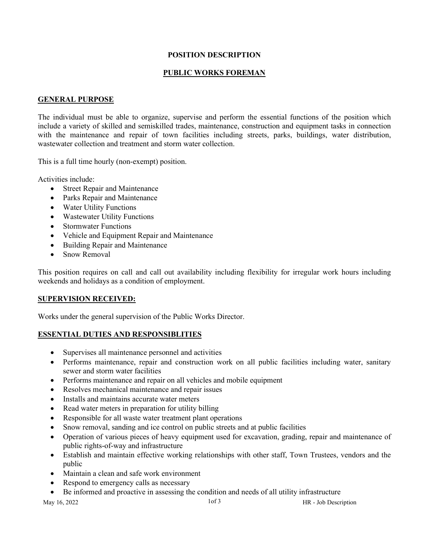### **POSITION DESCRIPTION**

## **PUBLIC WORKS FOREMAN**

#### **GENERAL PURPOSE**

The individual must be able to organize, supervise and perform the essential functions of the position which include a variety of skilled and semiskilled trades, maintenance, construction and equipment tasks in connection with the maintenance and repair of town facilities including streets, parks, buildings, water distribution, wastewater collection and treatment and storm water collection.

This is a full time hourly (non-exempt) position.

Activities include:

- Street Repair and Maintenance
- Parks Repair and Maintenance
- Water Utility Functions
- Wastewater Utility Functions
- Stormwater Functions
- Vehicle and Equipment Repair and Maintenance
- Building Repair and Maintenance
- Snow Removal

This position requires on call and call out availability including flexibility for irregular work hours including weekends and holidays as a condition of employment.

### **SUPERVISION RECEIVED:**

Works under the general supervision of the Public Works Director.

### **ESSENTIAL DUTIES AND RESPONSIBLITIES**

- Supervises all maintenance personnel and activities
- Performs maintenance, repair and construction work on all public facilities including water, sanitary sewer and storm water facilities
- Performs maintenance and repair on all vehicles and mobile equipment
- Resolves mechanical maintenance and repair issues
- Installs and maintains accurate water meters
- Read water meters in preparation for utility billing
- Responsible for all waste water treatment plant operations
- Snow removal, sanding and ice control on public streets and at public facilities
- Operation of various pieces of heavy equipment used for excavation, grading, repair and maintenance of public rights-of-way and infrastructure
- Establish and maintain effective working relationships with other staff, Town Trustees, vendors and the public
- Maintain a clean and safe work environment
- Respond to emergency calls as necessary
- Be informed and proactive in assessing the condition and needs of all utility infrastructure

May 16, 2022 1of 3 HR - Job Description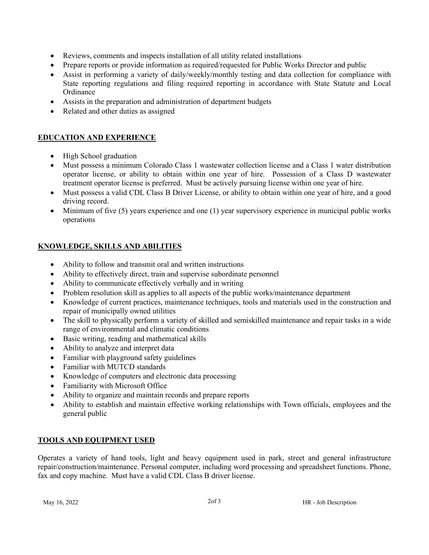- Reviews, comments and inspects installation of all utility related installations
- Prepare reports or provide information as required/requested for Public Works Director and public
- Assist in performing a variety of daily/weekly/monthly testing and data collection for compliance with State reporting regulations and filing required reporting in accordance with State Statute and Local **Ordinance**
- Assists in the preparation and administration of department budgets
- Related and other duties as assigned

# **EDUCATION AND EXPERIENCE**

- High School graduation
- Must possess a minimum Colorado Class 1 wastewater collection license and a Class 1 water distribution operator license, or ability to obtain within one year of hire. Possession of a Class D wastewater treatment operator license is preferred. Must be actively pursuing license within one year of hire.
- Must possess a valid CDL Class B Driver License, or ability to obtain within one year of hire, and a good driving record.
- Minimum of five (5) years experience and one (1) year supervisory experience in municipal public works operations

# **KNOWLEDGE, SKILLS AND ABILITIES**

- Ability to follow and transmit oral and written instructions
- Ability to effectively direct, train and supervise subordinate personnel
- Ability to communicate effectively verbally and in writing
- Problem resolution skill as applies to all aspects of the public works/maintenance department
- Knowledge of current practices, maintenance techniques, tools and materials used in the construction and repair of municipally owned utilities
- The skill to physically perform a variety of skilled and semiskilled maintenance and repair tasks in a wide range of environmental and climatic conditions
- Basic writing, reading and mathematical skills
- Ability to analyze and interpret data
- Familiar with playground safety guidelines
- Familiar with MUTCD standards
- Knowledge of computers and electronic data processing
- Familiarity with Microsoft Office
- Ability to organize and maintain records and prepare reports
- Ability to establish and maintain effective working relationships with Town officials, employees and the general public

# **TOOLS AND EQUIPMENT USED**

Operates a variety of hand tools, light and heavy equipment used in park, street and general infrastructure repair/construction/maintenance. Personal computer, including word processing and spreadsheet functions. Phone, fax and copy machine. Must have a valid CDL Class B driver license.